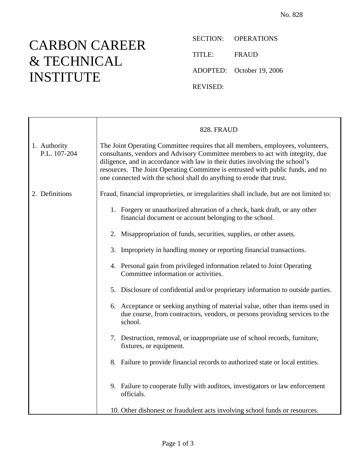## CARBON CAREER & TECHNICAL INSTITUTE

SECTION: OPERATIONS TITLE: FRAUD ADOPTED: October 19, 2006 REVISED:

|                              | 828. FRAUD                                                                                                                                                                                                                                                                                                                                                                                                   |
|------------------------------|--------------------------------------------------------------------------------------------------------------------------------------------------------------------------------------------------------------------------------------------------------------------------------------------------------------------------------------------------------------------------------------------------------------|
| 1. Authority<br>P.L. 107-204 | The Joint Operating Committee requires that all members, employees, volunteers,<br>consultants, vendors and Advisory Committee members to act with integrity, due<br>diligence, and in accordance with law in their duties involving the school's<br>resources. The Joint Operating Committee is entrusted with public funds, and no<br>one connected with the school shall do anything to erode that trust. |
| 2. Definitions               | Fraud, financial improprieties, or irregularities shall include, but are not limited to:                                                                                                                                                                                                                                                                                                                     |
|                              | 1. Forgery or unauthorized alteration of a check, bank draft, or any other<br>financial document or account belonging to the school.                                                                                                                                                                                                                                                                         |
|                              | 2. Misappropriation of funds, securities, supplies, or other assets.                                                                                                                                                                                                                                                                                                                                         |
|                              | 3. Impropriety in handling money or reporting financial transactions.                                                                                                                                                                                                                                                                                                                                        |
|                              | 4. Personal gain from privileged information related to Joint Operating<br>Committee information or activities.                                                                                                                                                                                                                                                                                              |
|                              | 5. Disclosure of confidential and/or proprietary information to outside parties.                                                                                                                                                                                                                                                                                                                             |
|                              | 6. Acceptance or seeking anything of material value, other than items used in<br>due course, from contractors, vendors, or persons providing services to the<br>school.                                                                                                                                                                                                                                      |
|                              | 7. Destruction, removal, or inappropriate use of school records, furniture,<br>fixtures, or equipment.                                                                                                                                                                                                                                                                                                       |
|                              | 8. Failure to provide financial records to authorized state or local entities.                                                                                                                                                                                                                                                                                                                               |
|                              | 9. Failure to cooperate fully with auditors, investigators or law enforcement<br>officials.                                                                                                                                                                                                                                                                                                                  |
|                              | 10. Other dishonest or fraudulent acts involving school funds or resources.                                                                                                                                                                                                                                                                                                                                  |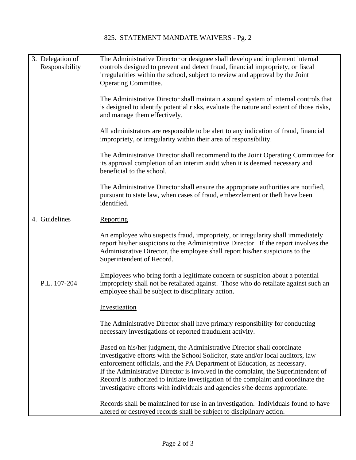|  | 3. Delegation of<br>Responsibility | The Administrative Director or designee shall develop and implement internal<br>controls designed to prevent and detect fraud, financial impropriety, or fiscal<br>irregularities within the school, subject to review and approval by the Joint<br><b>Operating Committee.</b>                                                                                                                                                                                                                     |
|--|------------------------------------|-----------------------------------------------------------------------------------------------------------------------------------------------------------------------------------------------------------------------------------------------------------------------------------------------------------------------------------------------------------------------------------------------------------------------------------------------------------------------------------------------------|
|  |                                    | The Administrative Director shall maintain a sound system of internal controls that<br>is designed to identify potential risks, evaluate the nature and extent of those risks,<br>and manage them effectively.                                                                                                                                                                                                                                                                                      |
|  |                                    | All administrators are responsible to be alert to any indication of fraud, financial<br>impropriety, or irregularity within their area of responsibility.                                                                                                                                                                                                                                                                                                                                           |
|  |                                    | The Administrative Director shall recommend to the Joint Operating Committee for<br>its approval completion of an interim audit when it is deemed necessary and<br>beneficial to the school.                                                                                                                                                                                                                                                                                                        |
|  |                                    | The Administrative Director shall ensure the appropriate authorities are notified,<br>pursuant to state law, when cases of fraud, embezzlement or theft have been<br>identified.                                                                                                                                                                                                                                                                                                                    |
|  | 4. Guidelines                      | Reporting                                                                                                                                                                                                                                                                                                                                                                                                                                                                                           |
|  |                                    | An employee who suspects fraud, impropriety, or irregularity shall immediately<br>report his/her suspicions to the Administrative Director. If the report involves the<br>Administrative Director, the employee shall report his/her suspicions to the<br>Superintendent of Record.                                                                                                                                                                                                                 |
|  | P.L. 107-204                       | Employees who bring forth a legitimate concern or suspicion about a potential<br>impropriety shall not be retaliated against. Those who do retaliate against such an<br>employee shall be subject to disciplinary action.                                                                                                                                                                                                                                                                           |
|  |                                    | Investigation                                                                                                                                                                                                                                                                                                                                                                                                                                                                                       |
|  |                                    | The Administrative Director shall have primary responsibility for conducting<br>necessary investigations of reported fraudulent activity.                                                                                                                                                                                                                                                                                                                                                           |
|  |                                    | Based on his/her judgment, the Administrative Director shall coordinate<br>investigative efforts with the School Solicitor, state and/or local auditors, law<br>enforcement officials, and the PA Department of Education, as necessary.<br>If the Administrative Director is involved in the complaint, the Superintendent of<br>Record is authorized to initiate investigation of the complaint and coordinate the<br>investigative efforts with individuals and agencies s/he deems appropriate. |
|  |                                    | Records shall be maintained for use in an investigation. Individuals found to have<br>altered or destroyed records shall be subject to disciplinary action.                                                                                                                                                                                                                                                                                                                                         |